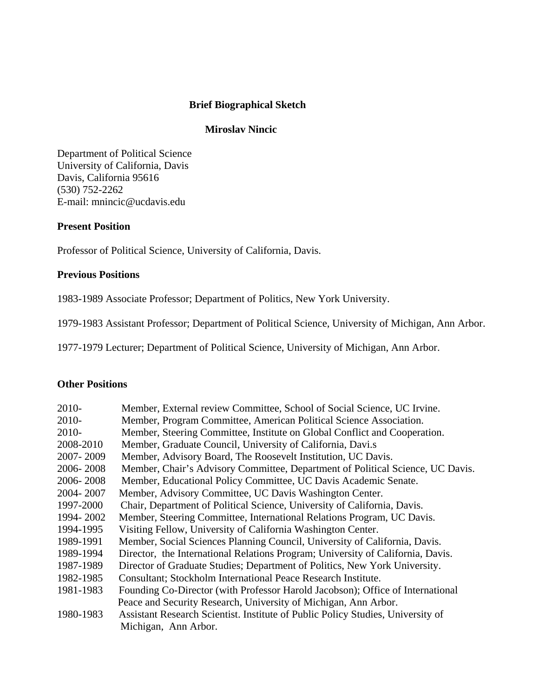# **Brief Biographical Sketch**

# **Miroslav Nincic**

Department of Political Science University of California, Davis Davis, California 95616 (530) 752-2262 E-mail: mnincic@ucdavis.edu

#### **Present Position**

Professor of Political Science, University of California, Davis.

#### **Previous Positions**

1983-1989 Associate Professor; Department of Politics, New York University.

1979-1983 Assistant Professor; Department of Political Science, University of Michigan, Ann Arbor.

1977-1979 Lecturer; Department of Political Science, University of Michigan, Ann Arbor.

#### **Other Positions**

| 2010-     | Member, External review Committee, School of Social Science, UC Irvine.         |
|-----------|---------------------------------------------------------------------------------|
| 2010-     | Member, Program Committee, American Political Science Association.              |
| $2010-$   | Member, Steering Committee, Institute on Global Conflict and Cooperation.       |
| 2008-2010 | Member, Graduate Council, University of California, Davi.s                      |
| 2007-2009 | Member, Advisory Board, The Roosevelt Institution, UC Davis.                    |
| 2006-2008 | Member, Chair's Advisory Committee, Department of Political Science, UC Davis.  |
| 2006-2008 | Member, Educational Policy Committee, UC Davis Academic Senate.                 |
| 2004-2007 | Member, Advisory Committee, UC Davis Washington Center.                         |
| 1997-2000 | Chair, Department of Political Science, University of California, Davis.        |
| 1994-2002 | Member, Steering Committee, International Relations Program, UC Davis.          |
| 1994-1995 | Visiting Fellow, University of California Washington Center.                    |
| 1989-1991 | Member, Social Sciences Planning Council, University of California, Davis.      |
| 1989-1994 | Director, the International Relations Program; University of California, Davis. |
| 1987-1989 | Director of Graduate Studies; Department of Politics, New York University.      |
| 1982-1985 | Consultant; Stockholm International Peace Research Institute.                   |
| 1981-1983 | Founding Co-Director (with Professor Harold Jacobson); Office of International  |
|           | Peace and Security Research, University of Michigan, Ann Arbor.                 |
| 1980-1983 | Assistant Research Scientist. Institute of Public Policy Studies, University of |
|           | Michigan, Ann Arbor.                                                            |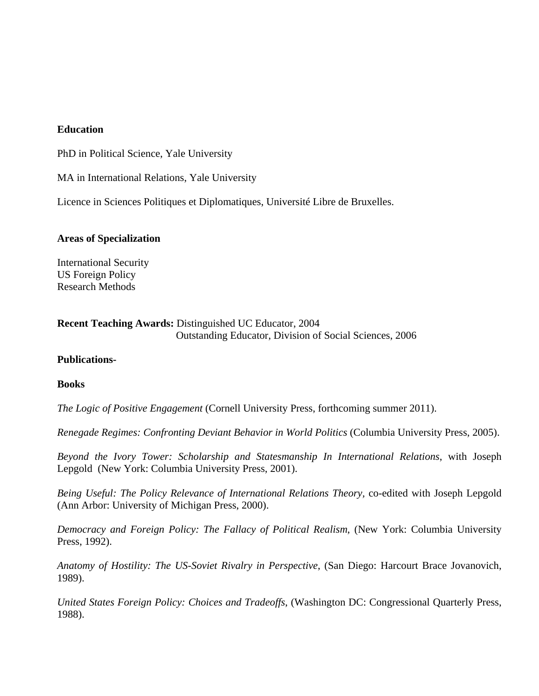#### **Education**

PhD in Political Science, Yale University

MA in International Relations, Yale University

Licence in Sciences Politiques et Diplomatiques, Université Libre de Bruxelles.

## **Areas of Specialization**

International Security US Foreign Policy Research Methods

# **Recent Teaching Awards:** Distinguished UC Educator, 2004 Outstanding Educator, Division of Social Sciences, 2006

## **Publications-**

## **Books**

*The Logic of Positive Engagement* (Cornell University Press, forthcoming summer 2011).

*Renegade Regimes: Confronting Deviant Behavior in World Politics* (Columbia University Press, 2005).

*Beyond the Ivory Tower: Scholarship and Statesmanship In International Relations*, with Joseph Lepgold (New York: Columbia University Press, 2001).

*Being Useful: The Policy Relevance of International Relations Theory,* co-edited with Joseph Lepgold (Ann Arbor: University of Michigan Press, 2000).

*Democracy and Foreign Policy: The Fallacy of Political Realism*, (New York: Columbia University Press, 1992).

*Anatomy of Hostility: The US-Soviet Rivalry in Perspective*, (San Diego: Harcourt Brace Jovanovich, 1989).

*United States Foreign Policy: Choices and Tradeoffs*, (Washington DC: Congressional Quarterly Press, 1988).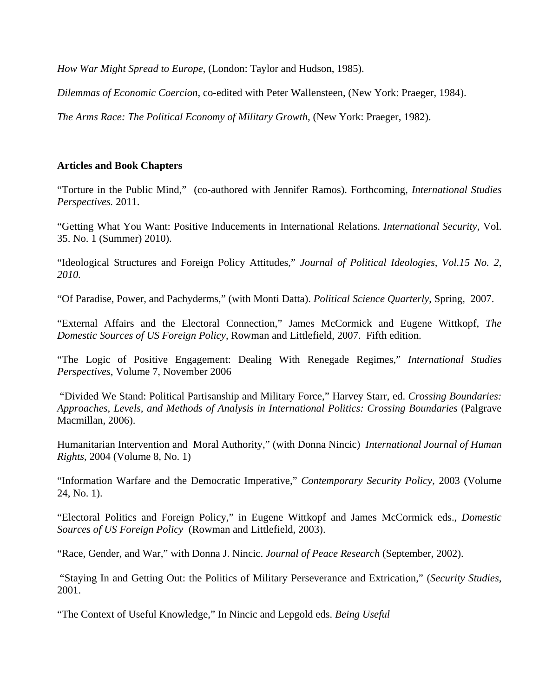*How War Might Spread to Europe*, (London: Taylor and Hudson, 1985).

*Dilemmas of Economic Coercion*, co-edited with Peter Wallensteen, (New York: Praeger, 1984).

*The Arms Race: The Political Economy of Military Growth*, (New York: Praeger, 1982).

# **Articles and Book Chapters**

"Torture in the Public Mind," (co-authored with Jennifer Ramos). Forthcoming, *International Studies Perspectives.* 2011.

"Getting What You Want: Positive Inducements in International Relations. *International Security,* Vol. 35. No. 1 (Summer) 2010).

"Ideological Structures and Foreign Policy Attitudes," *Journal of Political Ideologies, Vol.15 No. 2, 2010.* 

"Of Paradise, Power, and Pachyderms," (with Monti Datta). *Political Science Quarterly*, Spring, 2007.

"External Affairs and the Electoral Connection," James McCormick and Eugene Wittkopf, *The Domestic Sources of US Foreign Policy*, Rowman and Littlefield, 2007. Fifth edition.

"The Logic of Positive Engagement: Dealing With Renegade Regimes," *International Studies Perspectives*, Volume 7, November 2006

 "Divided We Stand: Political Partisanship and Military Force," Harvey Starr, ed. *Crossing Boundaries: Approaches, Levels, and Methods of Analysis in International Politics: Crossing Boundaries* (Palgrave Macmillan, 2006).

Humanitarian Intervention and Moral Authority," (with Donna Nincic) *International Journal of Human Rights*, 2004 (Volume 8, No. 1)

"Information Warfare and the Democratic Imperative," *Contemporary Security Policy*, 2003 (Volume 24, No. 1).

"Electoral Politics and Foreign Policy," in Eugene Wittkopf and James McCormick eds., *Domestic Sources of US Foreign Policy* (Rowman and Littlefield, 2003).

"Race, Gender, and War," with Donna J. Nincic. *Journal of Peace Research* (September, 2002).

 "Staying In and Getting Out: the Politics of Military Perseverance and Extrication," (*Security Studies*, 2001.

"The Context of Useful Knowledge," In Nincic and Lepgold eds. *Being Useful*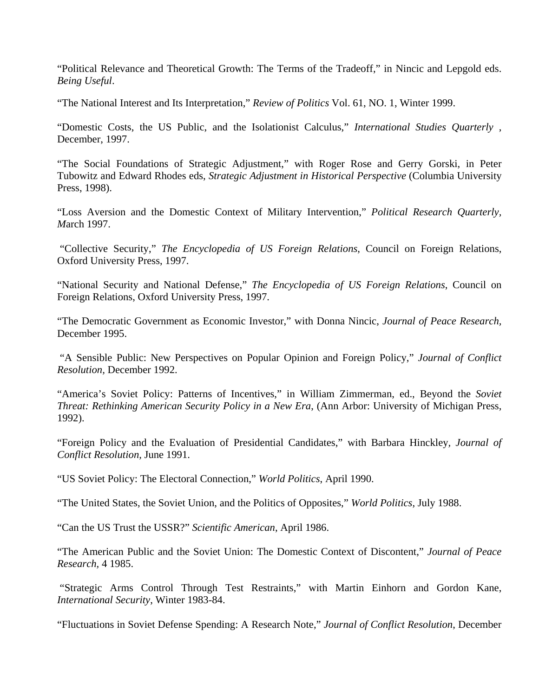"Political Relevance and Theoretical Growth: The Terms of the Tradeoff," in Nincic and Lepgold eds. *Being Useful*.

"The National Interest and Its Interpretation," *Review of Politics* Vol. 61, NO. 1, Winter 1999.

"Domestic Costs, the US Public, and the Isolationist Calculus," *International Studies Quarterly* , December, 1997.

"The Social Foundations of Strategic Adjustment," with Roger Rose and Gerry Gorski, in Peter Tubowitz and Edward Rhodes eds, *Strategic Adjustment in Historical Perspective* (Columbia University Press, 1998).

"Loss Aversion and the Domestic Context of Military Intervention," *Political Research Quarterly, M*arch 1997.

 "Collective Security," *The Encyclopedia of US Foreign Relations*, Council on Foreign Relations, Oxford University Press, 1997.

"National Security and National Defense," *The Encyclopedia of US Foreign Relations*, Council on Foreign Relations, Oxford University Press, 1997.

"The Democratic Government as Economic Investor," with Donna Nincic, *Journal of Peace Research,*  December 1995.

 "A Sensible Public: New Perspectives on Popular Opinion and Foreign Policy," *Journal of Conflict Resolution,* December 1992.

"America's Soviet Policy: Patterns of Incentives," in William Zimmerman, ed., Beyond the *Soviet Threat: Rethinking American Security Policy in a New Era*, (Ann Arbor: University of Michigan Press, 1992).

"Foreign Policy and the Evaluation of Presidential Candidates," with Barbara Hinckley*, Journal of Conflict Resolution,* June 1991.

"US Soviet Policy: The Electoral Connection," *World Politics*, April 1990.

"The United States, the Soviet Union, and the Politics of Opposites," *World Politics*, July 1988.

"Can the US Trust the USSR?" *Scientific American*, April 1986.

"The American Public and the Soviet Union: The Domestic Context of Discontent," *Journal of Peace Research,* 4 1985.

 "Strategic Arms Control Through Test Restraints," with Martin Einhorn and Gordon Kane, *International Security*, Winter 1983-84.

"Fluctuations in Soviet Defense Spending: A Research Note," *Journal of Conflict Resolution*, December